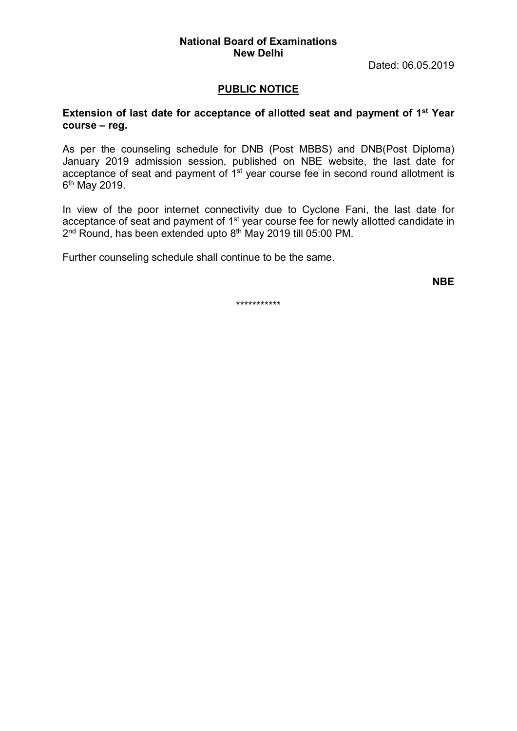#### National Board of Examinations New Delhi

Dated: 06.05.2019

### PUBLIC NOTICE

### Extension of last date for acceptance of allotted seat and payment of 1<sup>st</sup> Year course – reg.

As per the counseling schedule for DNB (Post MBBS) and DNB(Post Diploma) January 2019 admission session, published on NBE website, the last date for acceptance of seat and payment of 1<sup>st</sup> year course fee in second round allotment is 6<sup>th</sup> May 2019.

In view of the poor internet connectivity due to Cyclone Fani, the last date for acceptance of seat and payment of 1st year course fee for newly allotted candidate in 2<sup>nd</sup> Round, has been extended upto 8<sup>th</sup> May 2019 till 05:00 PM.

Further counseling schedule shall continue to be the same.

NBE

\*\*\*\*\*\*\*\*\*\*\*